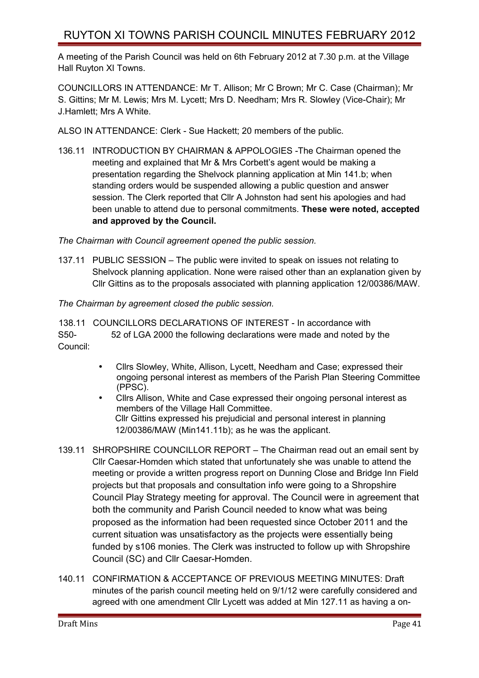# RUYTON XI TOWNS PARISH COUNCIL MINUTES FEBRUARY 2012

A meeting of the Parish Council was held on 6th February 2012 at 7.30 p.m. at the Village Hall Ruyton XI Towns.

COUNCILLORS IN ATTENDANCE: Mr T. Allison; Mr C Brown; Mr C. Case (Chairman); Mr S. Gittins; Mr M. Lewis; Mrs M. Lycett; Mrs D. Needham; Mrs R. Slowley (Vice-Chair); Mr J.Hamlett; Mrs A White.

ALSO IN ATTENDANCE: Clerk - Sue Hackett; 20 members of the public.

136.11 INTRODUCTION BY CHAIRMAN & APPOLOGIES -The Chairman opened the meeting and explained that Mr & Mrs Corbett's agent would be making a presentation regarding the Shelvock planning application at Min 141.b; when standing orders would be suspended allowing a public question and answer session. The Clerk reported that Cllr A Johnston had sent his apologies and had been unable to attend due to personal commitments. **These were noted, accepted and approved by the Council.**

*The Chairman with Council agreement opened the public session.*

137.11 PUBLIC SESSION – The public were invited to speak on issues not relating to Shelvock planning application. None were raised other than an explanation given by Cllr Gittins as to the proposals associated with planning application 12/00386/MAW.

*The Chairman by agreement closed the public session.*

138.11 COUNCILLORS DECLARATIONS OF INTEREST - In accordance with S50- 52 of LGA 2000 the following declarations were made and noted by the Council:

- Cllrs Slowley, White, Allison, Lycett, Needham and Case; expressed their ongoing personal interest as members of the Parish Plan Steering Committee (PPSC).
- Cllrs Allison, White and Case expressed their ongoing personal interest as members of the Village Hall Committee. Cllr Gittins expressed his prejudicial and personal interest in planning 12/00386/MAW (Min141.11b); as he was the applicant.
- 139.11 SHROPSHIRE COUNCILLOR REPORT The Chairman read out an email sent by Cllr Caesar-Homden which stated that unfortunately she was unable to attend the meeting or provide a written progress report on Dunning Close and Bridge Inn Field projects but that proposals and consultation info were going to a Shropshire Council Play Strategy meeting for approval. The Council were in agreement that both the community and Parish Council needed to know what was being proposed as the information had been requested since October 2011 and the current situation was unsatisfactory as the projects were essentially being funded by s106 monies. The Clerk was instructed to follow up with Shropshire Council (SC) and Cllr Caesar-Homden.
- 140.11 CONFIRMATION & ACCEPTANCE OF PREVIOUS MEETING MINUTES: Draft minutes of the parish council meeting held on 9/1/12 were carefully considered and agreed with one amendment Cllr Lycett was added at Min 127.11 as having a on-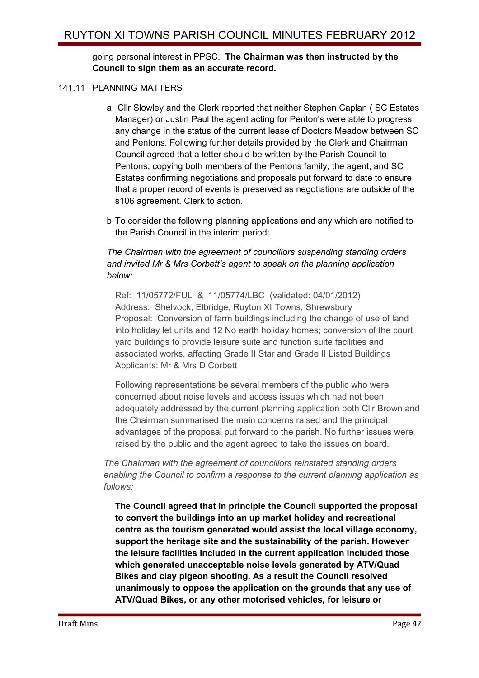# going personal interest in PPSC. **The Chairman was then instructed by the Council to sign them as an accurate record.**

#### 141.11 PLANNING MATTERS

- a. Cllr Slowley and the Clerk reported that neither Stephen Caplan ( SC Estates Manager) or Justin Paul the agent acting for Penton's were able to progress any change in the status of the current lease of Doctors Meadow between SC and Pentons. Following further details provided by the Clerk and Chairman Council agreed that a letter should be written by the Parish Council to Pentons; copying both members of the Pentons family, the agent, and SC Estates confirming negotiations and proposals put forward to date to ensure that a proper record of events is preserved as negotiations are outside of the s106 agreement. Clerk to action.
- b.To consider the following planning applications and any which are notified to the Parish Council in the interim period:

# *The Chairman with the agreement of councillors suspending standing orders and invited Mr & Mrs Corbett's agent to speak on the planning application below:*

Ref: 11/05772/FUL & 11/05774/LBC (validated: 04/01/2012) Address: Shelvock, Elbridge, Ruyton XI Towns, Shrewsbury Proposal: Conversion of farm buildings including the change of use of land into holiday let units and 12 No earth holiday homes; conversion of the court yard buildings to provide leisure suite and function suite facilities and associated works, affecting Grade II Star and Grade II Listed Buildings Applicants: Mr & Mrs D Corbett

Following representations be several members of the public who were concerned about noise levels and access issues which had not been adequately addressed by the current planning application both Cllr Brown and the Chairman summarised the main concerns raised and the principal advantages of the proposal put forward to the parish. No further issues were raised by the public and the agent agreed to take the issues on board.

*The Chairman with the agreement of councillors reinstated standing orders enabling the Council to confirm a response to the current planning application as follows:*

**The Council agreed that in principle the Council supported the proposal to convert the buildings into an up market holiday and recreational centre as the tourism generated would assist the local village economy, support the heritage site and the sustainability of the parish. However the leisure facilities included in the current application included those which generated unacceptable noise levels generated by ATV/Quad Bikes and clay pigeon shooting. As a result the Council resolved unanimously to oppose the application on the grounds that any use of ATV/Quad Bikes, or any other motorised vehicles, for leisure or**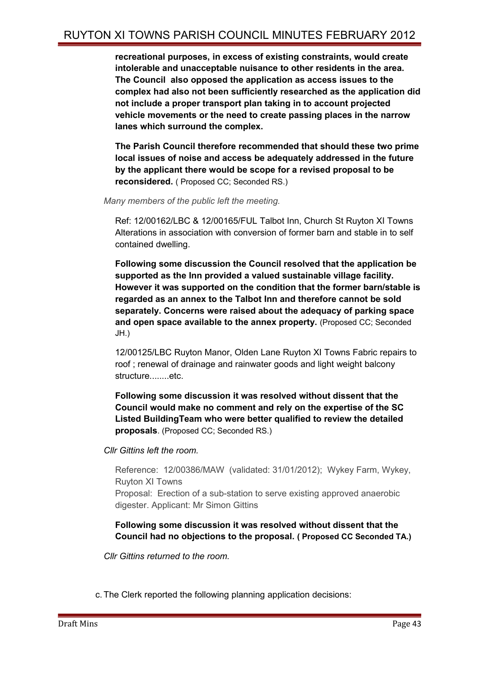**recreational purposes, in excess of existing constraints, would create intolerable and unacceptable nuisance to other residents in the area. The Council also opposed the application as access issues to the complex had also not been sufficiently researched as the application did not include a proper transport plan taking in to account projected vehicle movements or the need to create passing places in the narrow lanes which surround the complex.**

**The Parish Council therefore recommended that should these two prime local issues of noise and access be adequately addressed in the future by the applicant there would be scope for a revised proposal to be reconsidered.** ( Proposed CC; Seconded RS.)

*Many members of the public left the meeting.*

Ref: 12/00162/LBC & 12/00165/FUL Talbot Inn, Church St Ruyton XI Towns Alterations in association with conversion of former barn and stable in to self contained dwelling.

**Following some discussion the Council resolved that the application be supported as the Inn provided a valued sustainable village facility. However it was supported on the condition that the former barn/stable is regarded as an annex to the Talbot Inn and therefore cannot be sold separately. Concerns were raised about the adequacy of parking space and open space available to the annex property.** (Proposed CC; Seconded JH.)

12/00125/LBC Ruyton Manor, Olden Lane Ruyton XI Towns Fabric repairs to roof ; renewal of drainage and rainwater goods and light weight balcony structure........etc.

**Following some discussion it was resolved without dissent that the Council would make no comment and rely on the expertise of the SC Listed BuildingTeam who were better qualified to review the detailed proposals**. (Proposed CC; Seconded RS.)

*Cllr Gittins left the room.*

Reference: 12/00386/MAW (validated: 31/01/2012); Wykey Farm, Wykey, Ruyton XI Towns Proposal: Erection of a sub-station to serve existing approved anaerobic digester. Applicant: Mr Simon Gittins

# **Following some discussion it was resolved without dissent that the Council had no objections to the proposal. ( Proposed CC Seconded TA.)**

*Cllr Gittins returned to the room.*

c. The Clerk reported the following planning application decisions: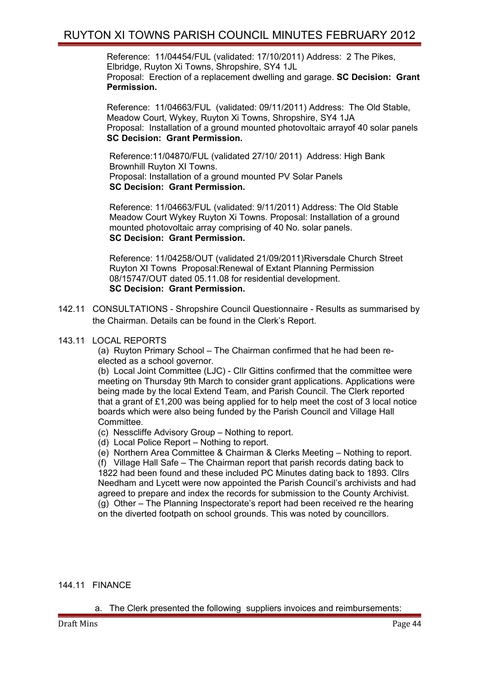Reference: 11/04454/FUL (validated: 17/10/2011) Address: 2 The Pikes, Elbridge, Ruyton Xi Towns, Shropshire, SY4 1JL Proposal: Erection of a replacement dwelling and garage. **SC Decision: Grant Permission.**

Reference: 11/04663/FUL (validated: 09/11/2011) Address: The Old Stable, Meadow Court, Wykey, Ruyton Xi Towns, Shropshire, SY4 1JA Proposal: Installation of a ground mounted photovoltaic arrayof 40 solar panels **SC Decision: Grant Permission.**

Reference:11/04870/FUL (validated 27/10/ 2011) Address: High Bank Brownhill Ruyton XI Towns. Proposal: Installation of a ground mounted PV Solar Panels **SC Decision: Grant Permission.**

Reference: 11/04663/FUL (validated: 9/11/2011) Address: The Old Stable Meadow Court Wykey Ruyton Xi Towns. Proposal: Installation of a ground mounted photovoltaic array comprising of 40 No. solar panels. **SC Decision: Grant Permission.**

Reference: 11/04258/OUT (validated 21/09/2011)Riversdale Church Street Ruyton XI Towns Proposal:Renewal of Extant Planning Permission 08/15747/OUT dated 05.11.08 for residential development. **SC Decision: Grant Permission.**

- 142.11 CONSULTATIONS Shropshire Council Questionnaire Results as summarised by the Chairman. Details can be found in the Clerk's Report.
- 143.11 LOCAL REPORTS

(a) Ruyton Primary School – The Chairman confirmed that he had been reelected as a school governor.

(b) Local Joint Committee (LJC) - Cllr Gittins confirmed that the committee were meeting on Thursday 9th March to consider grant applications. Applications were being made by the local Extend Team, and Parish Council. The Clerk reported that a grant of £1,200 was being applied for to help meet the cost of 3 local notice boards which were also being funded by the Parish Council and Village Hall Committee.

- (c) Nesscliffe Advisory Group Nothing to report.
- (d) Local Police Report Nothing to report.

(e) Northern Area Committee & Chairman & Clerks Meeting – Nothing to report.

(f) Village Hall Safe – The Chairman report that parish records dating back to 1822 had been found and these included PC Minutes dating back to 1893. Cllrs Needham and Lycett were now appointed the Parish Council's archivists and had agreed to prepare and index the records for submission to the County Archivist. (g) Other – The Planning Inspectorate's report had been received re the hearing on the diverted footpath on school grounds. This was noted by councillors.

# 144.11 FINANCE

a. The Clerk presented the following suppliers invoices and reimbursements: